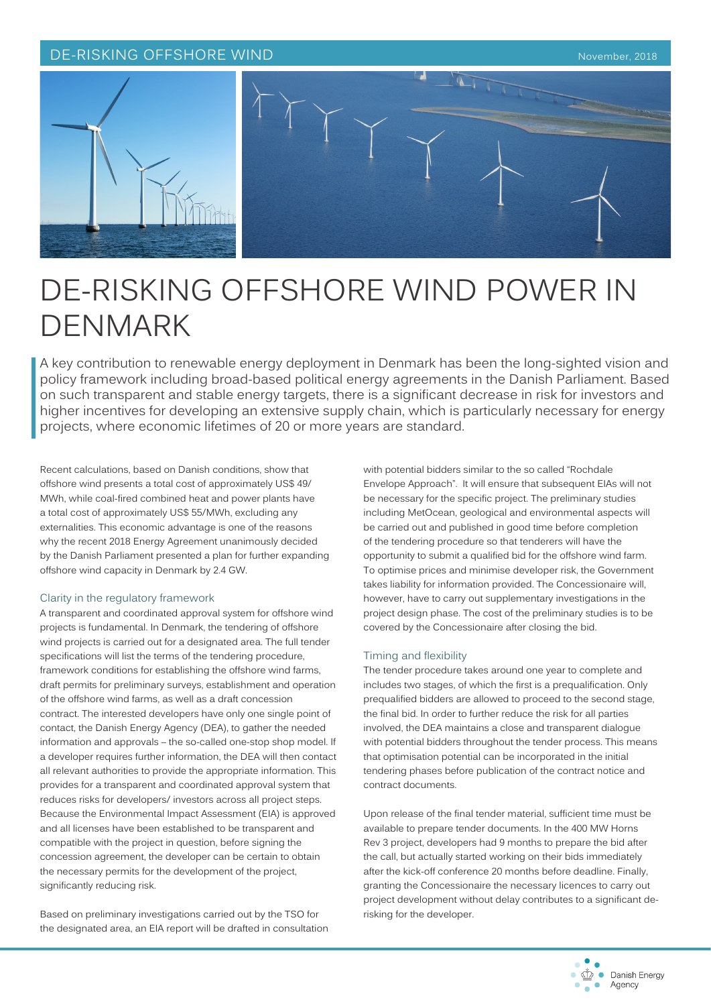## DE-RISKING OFFSHORE WIND November, 2018





# DE-RISKING OFFSHORE WIND POWER IN DENMARK

A key contribution to renewable energy deployment in Denmark has been the long-sighted vision and policy framework including broad-based political energy agreements in the Danish Parliament. Based on such transparent and stable energy targets, there is a significant decrease in risk for investors and higher incentives for developing an extensive supply chain, which is particularly necessary for energy projects, where economic lifetimes of 20 or more years are standard.

Recent calculations, based on Danish conditions, show that offshore wind presents a total cost of approximately US\$ 49/ MWh, while coal-fired combined heat and power plants have a total cost of approximately US\$ 55/MWh, excluding any externalities. This economic advantage is one of the reasons why the recent 2018 Energy Agreement unanimously decided by the Danish Parliament presented a plan for further expanding offshore wind capacity in Denmark by 2.4 GW.

## Clarity in the regulatory framework

A transparent and coordinated approval system for offshore wind projects is fundamental. In Denmark, the tendering of offshore wind projects is carried out for a designated area. The full tender specifications will list the terms of the tendering procedure, framework conditions for establishing the offshore wind farms, draft permits for preliminary surveys, establishment and operation of the offshore wind farms, as well as a draft concession contract. The interested developers have only one single point of contact, the Danish Energy Agency (DEA), to gather the needed information and approvals – the so-called one-stop shop model. If a developer requires further information, the DEA will then contact all relevant authorities to provide the appropriate information. This provides for a transparent and coordinated approval system that reduces risks for developers/ investors across all project steps. Because the Environmental Impact Assessment (EIA) is approved and all licenses have been established to be transparent and compatible with the project in question, before signing the concession agreement, the developer can be certain to obtain the necessary permits for the development of the project, significantly reducing risk.

Based on preliminary investigations carried out by the TSO for the designated area, an EIA report will be drafted in consultation with potential bidders similar to the so called "Rochdale Envelope Approach". It will ensure that subsequent EIAs will not be necessary for the specific project. The preliminary studies including MetOcean, geological and environmental aspects will be carried out and published in good time before completion of the tendering procedure so that tenderers will have the opportunity to submit a qualified bid for the offshore wind farm. To optimise prices and minimise developer risk, the Government takes liability for information provided. The Concessionaire will, however, have to carry out supplementary investigations in the project design phase. The cost of the preliminary studies is to be covered by the Concessionaire after closing the bid.

#### Timing and flexibility

The tender procedure takes around one year to complete and includes two stages, of which the first is a prequalification. Only prequalified bidders are allowed to proceed to the second stage, the final bid. In order to further reduce the risk for all parties involved, the DEA maintains a close and transparent dialogue with potential bidders throughout the tender process. This means that optimisation potential can be incorporated in the initial tendering phases before publication of the contract notice and contract documents.

Upon release of the final tender material, sufficient time must be available to prepare tender documents. In the 400 MW Horns Rev 3 project, developers had 9 months to prepare the bid after the call, but actually started working on their bids immediately after the kick-off conference 20 months before deadline. Finally, granting the Concessionaire the necessary licences to carry out project development without delay contributes to a significant derisking for the developer.